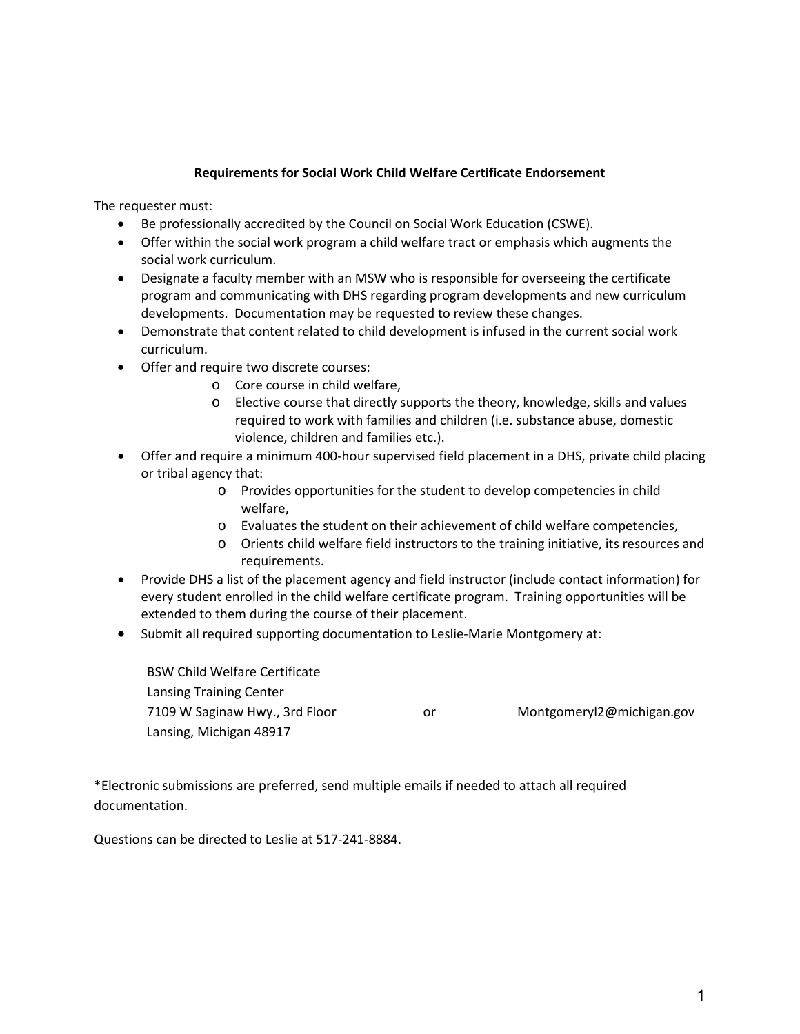## **Requirements for Social Work Child Welfare Certificate Endorsement**

The requester must:

- Be professionally accredited by the Council on Social Work Education (CSWE).
- Offer within the social work program a child welfare tract or emphasis which augments the social work curriculum.
- Designate a faculty member with an MSW who is responsible for overseeing the certificate program and communicating with DHS regarding program developments and new curriculum developments. Documentation may be requested to review these changes.
- Demonstrate that content related to child development is infused in the current social work curriculum.
- Offer and require two discrete courses:
	- o Core course in child welfare,
	- o Elective course that directly supports the theory, knowledge, skills and values required to work with families and children (i.e. substance abuse, domestic violence, children and families etc.).
- Offer and require a minimum 400-hour supervised field placement in a DHS, private child placing or tribal agency that:
	- o Provides opportunities for the student to develop competencies in child welfare,
	- o Evaluates the student on their achievement of child welfare competencies,
	- o Orients child welfare field instructors to the training initiative, its resources and requirements.
- Provide DHS a list of the placement agency and field instructor (include contact information) for every student enrolled in the child welfare certificate program. Training opportunities will be extended to them during the course of their placement.
- Submit all required supporting documentation to Leslie-Marie Montgomery at:

| <b>BSW Child Welfare Certificate</b> |    |                           |
|--------------------------------------|----|---------------------------|
| Lansing Training Center              |    |                           |
| 7109 W Saginaw Hwy., 3rd Floor       | or | Montgomeryl2@michigan.gov |
| Lansing, Michigan 48917              |    |                           |

\*Electronic submissions are preferred, send multiple emails if needed to attach all required documentation.

Questions can be directed to Leslie at 517-241-8884.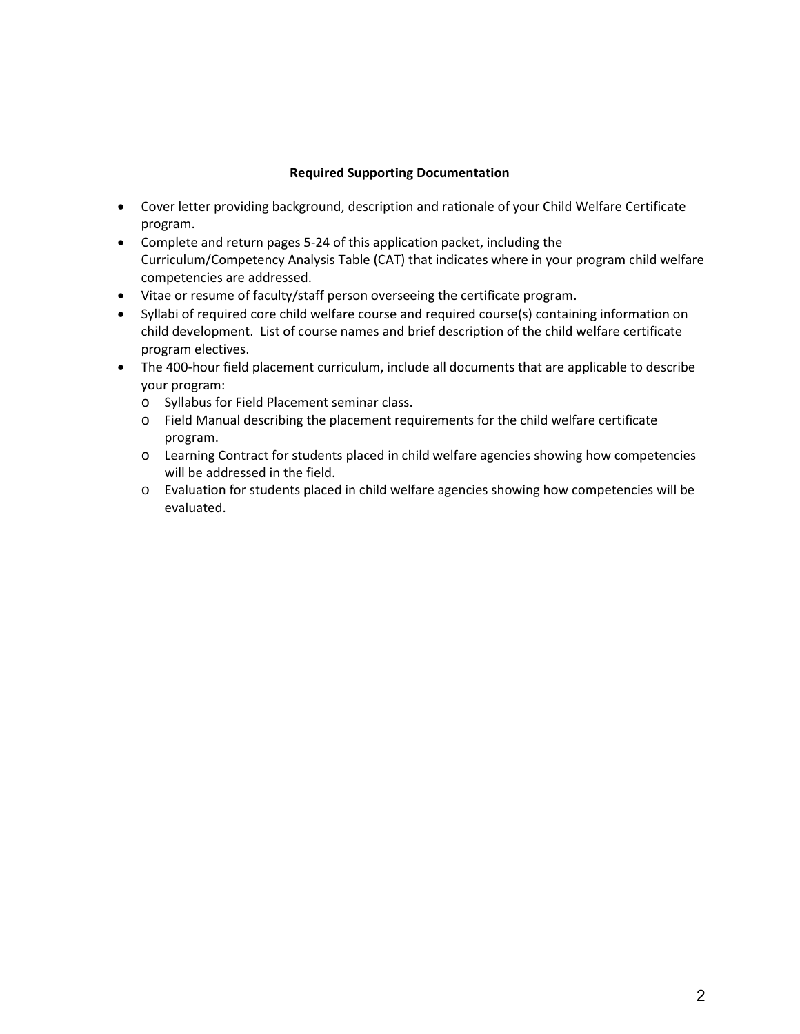## **Required Supporting Documentation**

- Cover letter providing background, description and rationale of your Child Welfare Certificate program.
- Complete and return pages 5-24 of this application packet, including the Curriculum/Competency Analysis Table (CAT) that indicates where in your program child welfare competencies are addressed.
- Vitae or resume of faculty/staff person overseeing the certificate program.
- Syllabi of required core child welfare course and required course(s) containing information on child development. List of course names and brief description of the child welfare certificate program electives.
- The 400-hour field placement curriculum, include all documents that are applicable to describe your program:
	- o Syllabus for Field Placement seminar class.
	- o Field Manual describing the placement requirements for the child welfare certificate program.
	- o Learning Contract for students placed in child welfare agencies showing how competencies will be addressed in the field.
	- o Evaluation for students placed in child welfare agencies showing how competencies will be evaluated.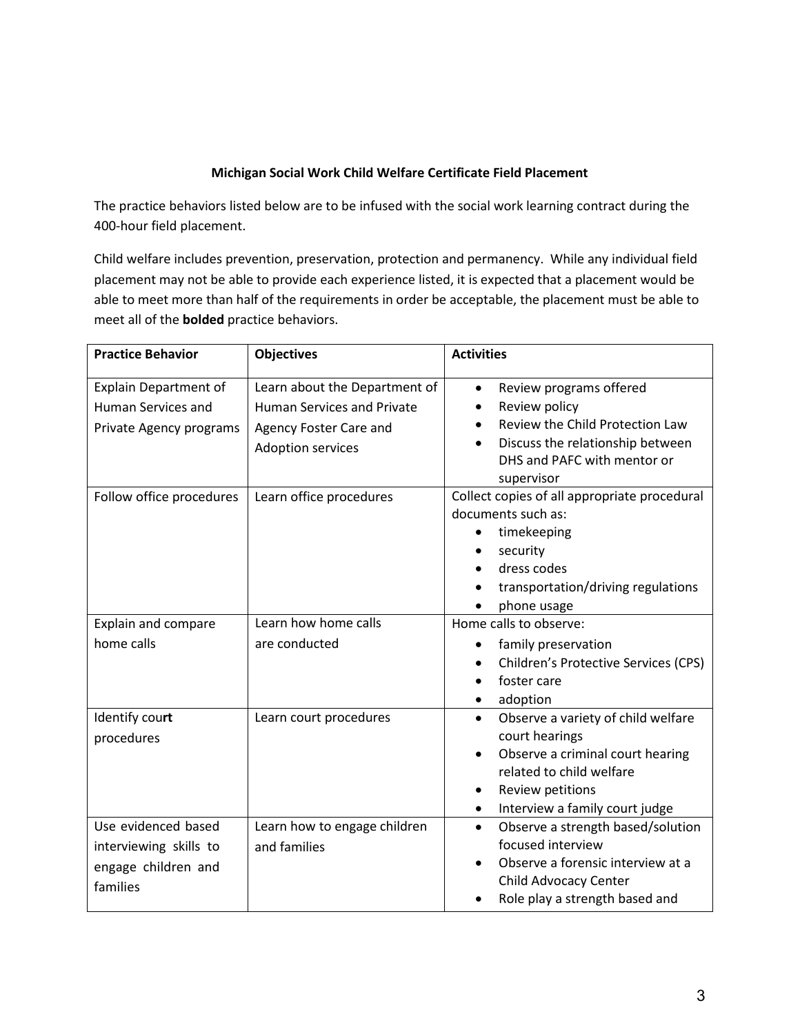# **Michigan Social Work Child Welfare Certificate Field Placement**

The practice behaviors listed below are to be infused with the social work learning contract during the 400-hour field placement.

Child welfare includes prevention, preservation, protection and permanency. While any individual field placement may not be able to provide each experience listed, it is expected that a placement would be able to meet more than half of the requirements in order be acceptable, the placement must be able to meet all of the **bolded** practice behaviors.

| <b>Practice Behavior</b>                                                             | <b>Objectives</b>                                                                                                 | <b>Activities</b>                                                                                                                                                                       |
|--------------------------------------------------------------------------------------|-------------------------------------------------------------------------------------------------------------------|-----------------------------------------------------------------------------------------------------------------------------------------------------------------------------------------|
| <b>Explain Department of</b><br><b>Human Services and</b><br>Private Agency programs | Learn about the Department of<br><b>Human Services and Private</b><br>Agency Foster Care and<br>Adoption services | Review programs offered<br>$\bullet$<br>Review policy<br>Review the Child Protection Law<br>Discuss the relationship between<br>DHS and PAFC with mentor or<br>supervisor               |
| Follow office procedures                                                             | Learn office procedures                                                                                           | Collect copies of all appropriate procedural<br>documents such as:<br>timekeeping<br>security<br>dress codes<br>transportation/driving regulations<br>phone usage                       |
| Explain and compare<br>home calls                                                    | Learn how home calls<br>are conducted                                                                             | Home calls to observe:<br>family preservation<br>Children's Protective Services (CPS)<br>foster care<br>adoption                                                                        |
| Identify court<br>procedures                                                         | Learn court procedures                                                                                            | Observe a variety of child welfare<br>$\bullet$<br>court hearings<br>Observe a criminal court hearing<br>related to child welfare<br>Review petitions<br>Interview a family court judge |
| Use evidenced based<br>interviewing skills to<br>engage children and<br>families     | Learn how to engage children<br>and families                                                                      | Observe a strength based/solution<br>$\bullet$<br>focused interview<br>Observe a forensic interview at a<br>Child Advocacy Center<br>Role play a strength based and                     |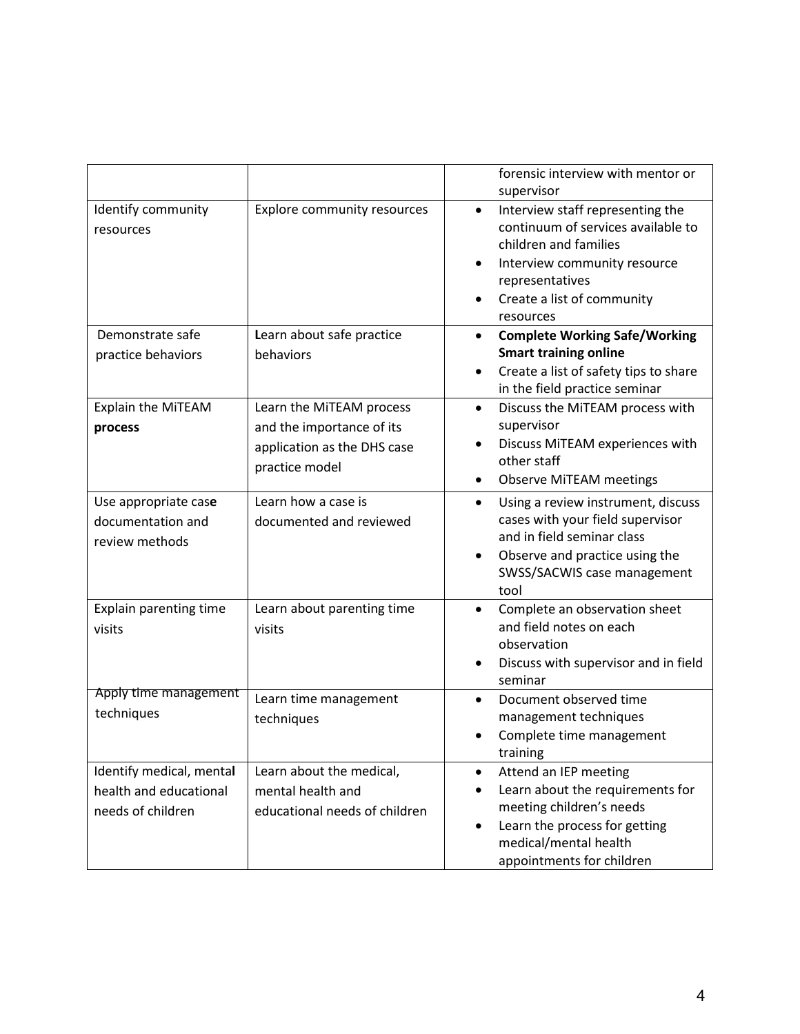|                                                             |                                                | forensic interview with mentor or<br>supervisor                                                                                                                                                            |
|-------------------------------------------------------------|------------------------------------------------|------------------------------------------------------------------------------------------------------------------------------------------------------------------------------------------------------------|
| Identify community<br>resources                             | <b>Explore community resources</b>             | Interview staff representing the<br>$\bullet$<br>continuum of services available to<br>children and families<br>Interview community resource<br>representatives<br>Create a list of community<br>resources |
| Demonstrate safe                                            | Learn about safe practice                      | <b>Complete Working Safe/Working</b><br>$\bullet$                                                                                                                                                          |
| practice behaviors                                          | behaviors                                      | <b>Smart training online</b><br>Create a list of safety tips to share<br>in the field practice seminar                                                                                                     |
| Explain the MiTEAM                                          | Learn the MiTEAM process                       | Discuss the MiTEAM process with<br>$\bullet$                                                                                                                                                               |
| process                                                     | and the importance of its                      | supervisor<br>Discuss MiTEAM experiences with                                                                                                                                                              |
|                                                             | application as the DHS case<br>practice model  | other staff                                                                                                                                                                                                |
|                                                             |                                                | <b>Observe MiTEAM meetings</b>                                                                                                                                                                             |
| Use appropriate case<br>documentation and<br>review methods | Learn how a case is<br>documented and reviewed | Using a review instrument, discuss<br>$\bullet$<br>cases with your field supervisor<br>and in field seminar class<br>Observe and practice using the<br>٠<br>SWSS/SACWIS case management<br>tool            |
| Explain parenting time                                      | Learn about parenting time                     | Complete an observation sheet<br>$\bullet$<br>and field notes on each                                                                                                                                      |
| visits                                                      | visits                                         | observation                                                                                                                                                                                                |
|                                                             |                                                | Discuss with supervisor and in field<br>seminar                                                                                                                                                            |
| Apply time management<br>techniques                         | Learn time management                          | Document observed time                                                                                                                                                                                     |
|                                                             | techniques                                     | management techniques<br>Complete time management                                                                                                                                                          |
|                                                             |                                                | training                                                                                                                                                                                                   |
| Identify medical, mental                                    | Learn about the medical,                       | Attend an IEP meeting<br>$\bullet$                                                                                                                                                                         |
| health and educational<br>needs of children                 | mental health and                              | Learn about the requirements for<br>meeting children's needs                                                                                                                                               |
|                                                             | educational needs of children                  | Learn the process for getting                                                                                                                                                                              |
|                                                             |                                                | medical/mental health                                                                                                                                                                                      |
|                                                             |                                                | appointments for children                                                                                                                                                                                  |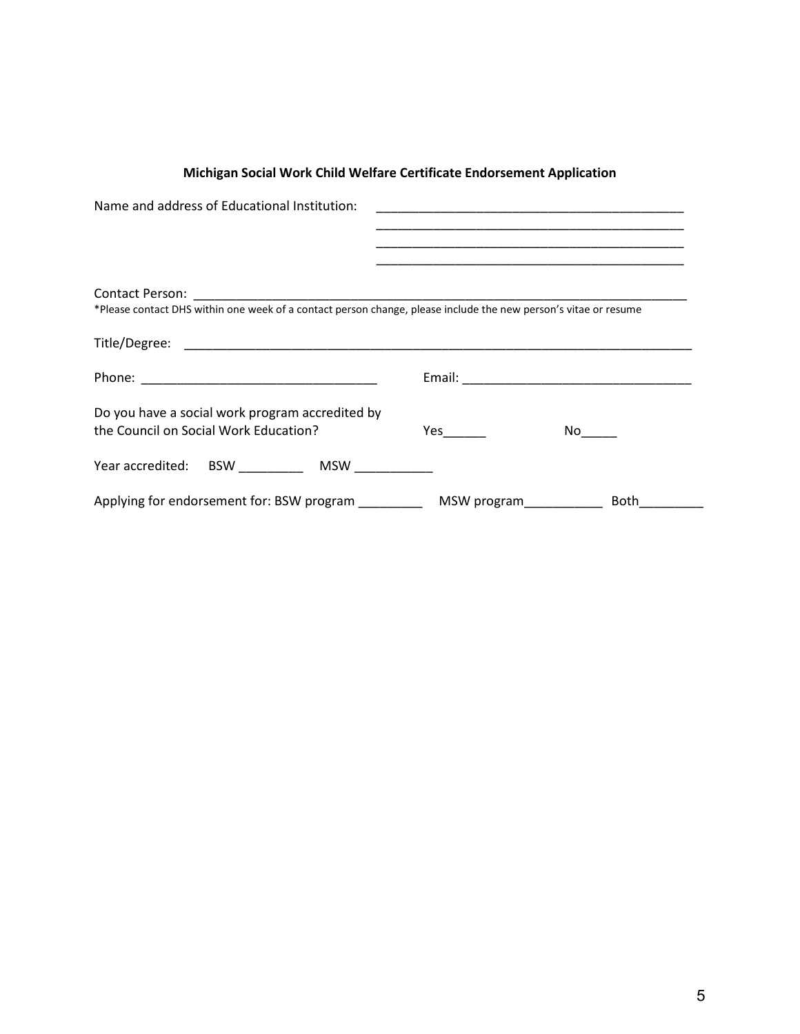| Name and address of Educational Institution:                                                                    |                                                                                                                                                                                                                                                |      |
|-----------------------------------------------------------------------------------------------------------------|------------------------------------------------------------------------------------------------------------------------------------------------------------------------------------------------------------------------------------------------|------|
|                                                                                                                 |                                                                                                                                                                                                                                                |      |
|                                                                                                                 | <u> 1989 - Johann John Stoff, deutscher Stoffen und der Stoffen und der Stoffen und der Stoffen und der Stoffen u</u><br><u> 1989 - Johann John Stoff, deutscher Stoffen und der Stoffen und der Stoffen und der Stoffen und der Stoffen u</u> |      |
|                                                                                                                 |                                                                                                                                                                                                                                                |      |
| *Please contact DHS within one week of a contact person change, please include the new person's vitae or resume |                                                                                                                                                                                                                                                |      |
|                                                                                                                 |                                                                                                                                                                                                                                                |      |
|                                                                                                                 |                                                                                                                                                                                                                                                |      |
|                                                                                                                 |                                                                                                                                                                                                                                                |      |
| Do you have a social work program accredited by<br>the Council on Social Work Education?                        |                                                                                                                                                                                                                                                |      |
|                                                                                                                 |                                                                                                                                                                                                                                                |      |
| Year accredited: BSW ___________ MSW                                                                            |                                                                                                                                                                                                                                                |      |
| Applying for endorsement for: BSW program _______________ MSW program____________                               |                                                                                                                                                                                                                                                | Both |

# **Michigan Social Work Child Welfare Certificate Endorsement Application**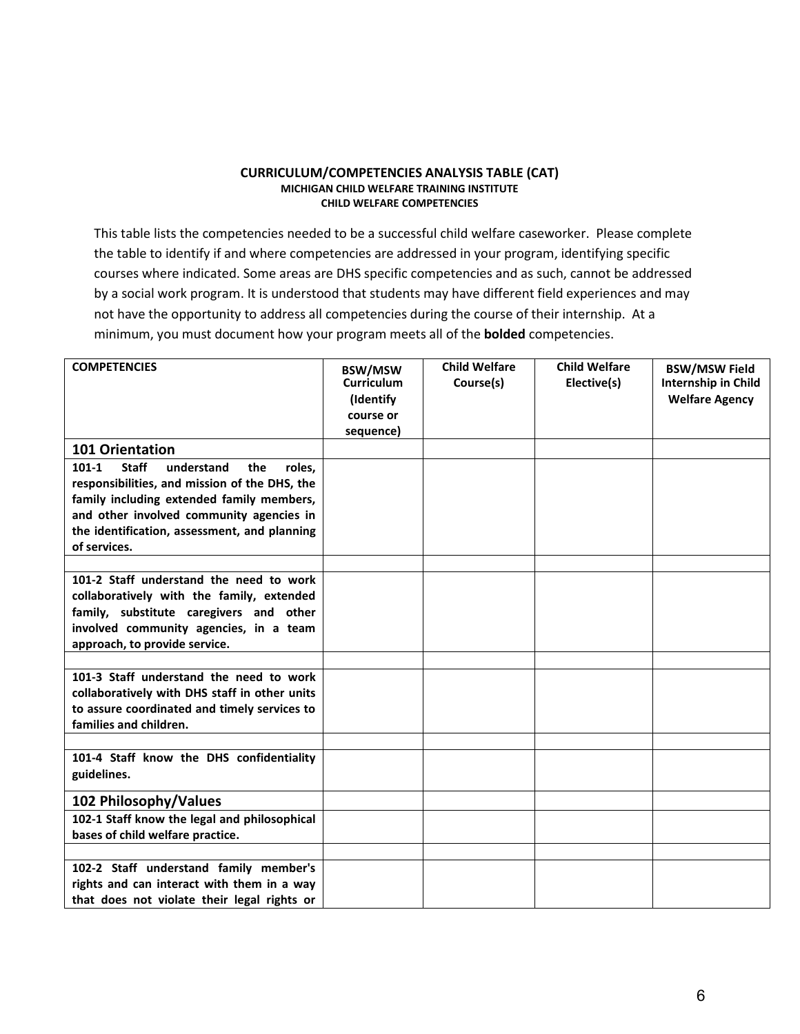#### **CURRICULUM/COMPETENCIES ANALYSIS TABLE (CAT) MICHIGAN CHILD WELFARE TRAINING INSTITUTE CHILD WELFARE COMPETENCIES**

This table lists the competencies needed to be a successful child welfare caseworker. Please complete the table to identify if and where competencies are addressed in your program, identifying specific courses where indicated. Some areas are DHS specific competencies and as such, cannot be addressed by a social work program. It is understood that students may have different field experiences and may not have the opportunity to address all competencies during the course of their internship. At a minimum, you must document how your program meets all of the **bolded** competencies.

| <b>COMPETENCIES</b>                                                                                                                                                                                                                                                | <b>BSW/MSW</b><br><b>Curriculum</b><br>(Identify)<br>course or<br>sequence) | <b>Child Welfare</b><br>Course(s) | <b>Child Welfare</b><br>Elective(s) | <b>BSW/MSW Field</b><br>Internship in Child<br><b>Welfare Agency</b> |
|--------------------------------------------------------------------------------------------------------------------------------------------------------------------------------------------------------------------------------------------------------------------|-----------------------------------------------------------------------------|-----------------------------------|-------------------------------------|----------------------------------------------------------------------|
| <b>101 Orientation</b>                                                                                                                                                                                                                                             |                                                                             |                                   |                                     |                                                                      |
| $101 - 1$<br><b>Staff</b><br>understand<br>the<br>roles,<br>responsibilities, and mission of the DHS, the<br>family including extended family members,<br>and other involved community agencies in<br>the identification, assessment, and planning<br>of services. |                                                                             |                                   |                                     |                                                                      |
|                                                                                                                                                                                                                                                                    |                                                                             |                                   |                                     |                                                                      |
| 101-2 Staff understand the need to work<br>collaboratively with the family, extended<br>family, substitute caregivers and other<br>involved community agencies, in a team<br>approach, to provide service.                                                         |                                                                             |                                   |                                     |                                                                      |
|                                                                                                                                                                                                                                                                    |                                                                             |                                   |                                     |                                                                      |
| 101-3 Staff understand the need to work<br>collaboratively with DHS staff in other units<br>to assure coordinated and timely services to<br>families and children.                                                                                                 |                                                                             |                                   |                                     |                                                                      |
|                                                                                                                                                                                                                                                                    |                                                                             |                                   |                                     |                                                                      |
| 101-4 Staff know the DHS confidentiality<br>guidelines.                                                                                                                                                                                                            |                                                                             |                                   |                                     |                                                                      |
| 102 Philosophy/Values                                                                                                                                                                                                                                              |                                                                             |                                   |                                     |                                                                      |
| 102-1 Staff know the legal and philosophical<br>bases of child welfare practice.                                                                                                                                                                                   |                                                                             |                                   |                                     |                                                                      |
|                                                                                                                                                                                                                                                                    |                                                                             |                                   |                                     |                                                                      |
| 102-2 Staff understand family member's<br>rights and can interact with them in a way<br>that does not violate their legal rights or                                                                                                                                |                                                                             |                                   |                                     |                                                                      |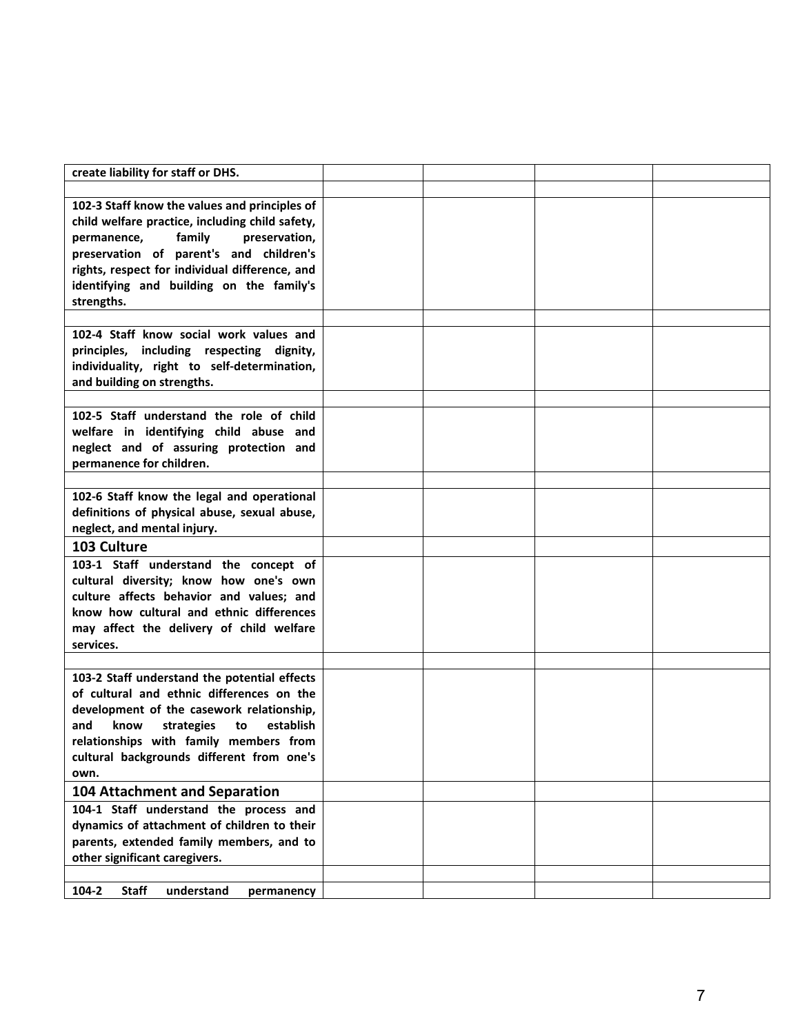| create liability for staff or DHS.                    |  |  |
|-------------------------------------------------------|--|--|
|                                                       |  |  |
| 102-3 Staff know the values and principles of         |  |  |
| child welfare practice, including child safety,       |  |  |
| permanence.<br>family<br>preservation,                |  |  |
| preservation of parent's and children's               |  |  |
| rights, respect for individual difference, and        |  |  |
| identifying and building on the family's              |  |  |
| strengths.                                            |  |  |
|                                                       |  |  |
| 102-4 Staff know social work values and               |  |  |
| principles, including respecting dignity,             |  |  |
| individuality, right to self-determination,           |  |  |
| and building on strengths.                            |  |  |
|                                                       |  |  |
| 102-5 Staff understand the role of child              |  |  |
| welfare in identifying child abuse and                |  |  |
| neglect and of assuring protection and                |  |  |
| permanence for children.                              |  |  |
|                                                       |  |  |
| 102-6 Staff know the legal and operational            |  |  |
| definitions of physical abuse, sexual abuse,          |  |  |
| neglect, and mental injury.                           |  |  |
| 103 Culture                                           |  |  |
| 103-1 Staff understand the concept of                 |  |  |
| cultural diversity; know how one's own                |  |  |
| culture affects behavior and values; and              |  |  |
| know how cultural and ethnic differences              |  |  |
| may affect the delivery of child welfare              |  |  |
| services.                                             |  |  |
|                                                       |  |  |
| 103-2 Staff understand the potential effects          |  |  |
| of cultural and ethnic differences on the             |  |  |
| development of the casework relationship,             |  |  |
| and<br>know<br>strategies<br>establish<br>to          |  |  |
| relationships with family members from                |  |  |
| cultural backgrounds different from one's             |  |  |
| own.                                                  |  |  |
| <b>104 Attachment and Separation</b>                  |  |  |
| 104-1 Staff understand the process and                |  |  |
| dynamics of attachment of children to their           |  |  |
| parents, extended family members, and to              |  |  |
| other significant caregivers.                         |  |  |
|                                                       |  |  |
| $104 - 2$<br><b>Staff</b><br>understand<br>permanency |  |  |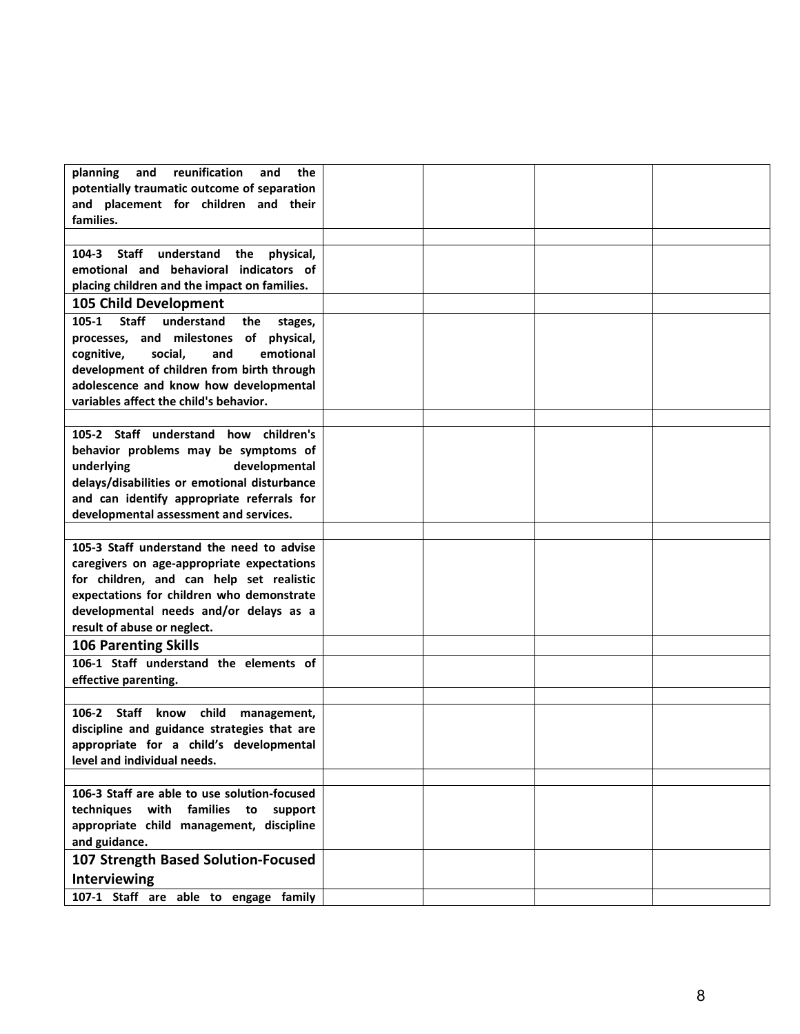| reunification<br>planning<br>and<br>the<br>and        |  |  |
|-------------------------------------------------------|--|--|
| potentially traumatic outcome of separation           |  |  |
| and placement for children and their                  |  |  |
| families.                                             |  |  |
|                                                       |  |  |
| 104-3 Staff understand<br>the physical,               |  |  |
| emotional and behavioral indicators of                |  |  |
| placing children and the impact on families.          |  |  |
|                                                       |  |  |
| 105 Child Development                                 |  |  |
| <b>Staff</b><br>understand<br>105-1<br>the<br>stages, |  |  |
| processes, and milestones of physical,                |  |  |
| social,<br>and<br>emotional<br>cognitive,             |  |  |
| development of children from birth through            |  |  |
| adolescence and know how developmental                |  |  |
| variables affect the child's behavior.                |  |  |
|                                                       |  |  |
| 105-2 Staff understand how children's                 |  |  |
| behavior problems may be symptoms of                  |  |  |
| underlying<br>developmental                           |  |  |
| delays/disabilities or emotional disturbance          |  |  |
| and can identify appropriate referrals for            |  |  |
| developmental assessment and services.                |  |  |
|                                                       |  |  |
| 105-3 Staff understand the need to advise             |  |  |
| caregivers on age-appropriate expectations            |  |  |
| for children, and can help set realistic              |  |  |
| expectations for children who demonstrate             |  |  |
| developmental needs and/or delays as a                |  |  |
| result of abuse or neglect.                           |  |  |
| <b>106 Parenting Skills</b>                           |  |  |
| 106-1 Staff understand the elements of                |  |  |
| effective parenting.                                  |  |  |
|                                                       |  |  |
| 106-2 Staff<br>know<br>child<br>management,           |  |  |
| discipline and guidance strategies that are           |  |  |
| appropriate for a child's developmental               |  |  |
| level and individual needs.                           |  |  |
|                                                       |  |  |
| 106-3 Staff are able to use solution-focused          |  |  |
| techniques with families to support                   |  |  |
| appropriate child management, discipline              |  |  |
| and guidance.                                         |  |  |
| 107 Strength Based Solution-Focused                   |  |  |
| Interviewing                                          |  |  |
| 107-1 Staff are able to engage family                 |  |  |
|                                                       |  |  |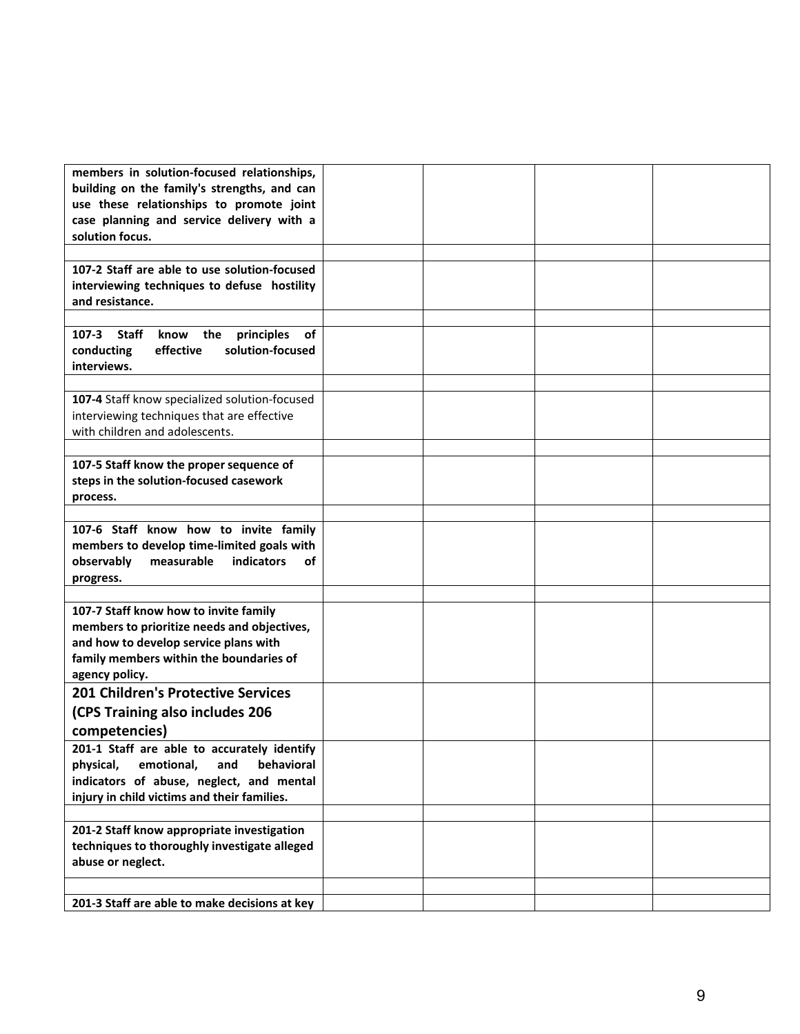| members in solution-focused relationships,                     |  |  |
|----------------------------------------------------------------|--|--|
| building on the family's strengths, and can                    |  |  |
| use these relationships to promote joint                       |  |  |
| case planning and service delivery with a                      |  |  |
| solution focus.                                                |  |  |
|                                                                |  |  |
| 107-2 Staff are able to use solution-focused                   |  |  |
|                                                                |  |  |
| interviewing techniques to defuse hostility<br>and resistance. |  |  |
|                                                                |  |  |
|                                                                |  |  |
| 107-3 Staff<br>the principles<br>know<br>of                    |  |  |
| solution-focused<br>conducting<br>effective                    |  |  |
| interviews.                                                    |  |  |
|                                                                |  |  |
| 107-4 Staff know specialized solution-focused                  |  |  |
| interviewing techniques that are effective                     |  |  |
| with children and adolescents.                                 |  |  |
|                                                                |  |  |
| 107-5 Staff know the proper sequence of                        |  |  |
| steps in the solution-focused casework                         |  |  |
| process.                                                       |  |  |
|                                                                |  |  |
| 107-6 Staff know how to invite family                          |  |  |
| members to develop time-limited goals with                     |  |  |
| observably<br>measurable<br>indicators<br>οf                   |  |  |
| progress.                                                      |  |  |
|                                                                |  |  |
| 107-7 Staff know how to invite family                          |  |  |
| members to prioritize needs and objectives,                    |  |  |
|                                                                |  |  |
| and how to develop service plans with                          |  |  |
| family members within the boundaries of                        |  |  |
| agency policy.                                                 |  |  |
| <b>201 Children's Protective Services</b>                      |  |  |
| (CPS Training also includes 206                                |  |  |
| competencies)                                                  |  |  |
| 201-1 Staff are able to accurately identify                    |  |  |
| physical, emotional,<br>behavioral<br>and                      |  |  |
| indicators of abuse, neglect, and mental                       |  |  |
| injury in child victims and their families.                    |  |  |
|                                                                |  |  |
|                                                                |  |  |
| 201-2 Staff know appropriate investigation                     |  |  |
| techniques to thoroughly investigate alleged                   |  |  |
|                                                                |  |  |
| abuse or neglect.                                              |  |  |
|                                                                |  |  |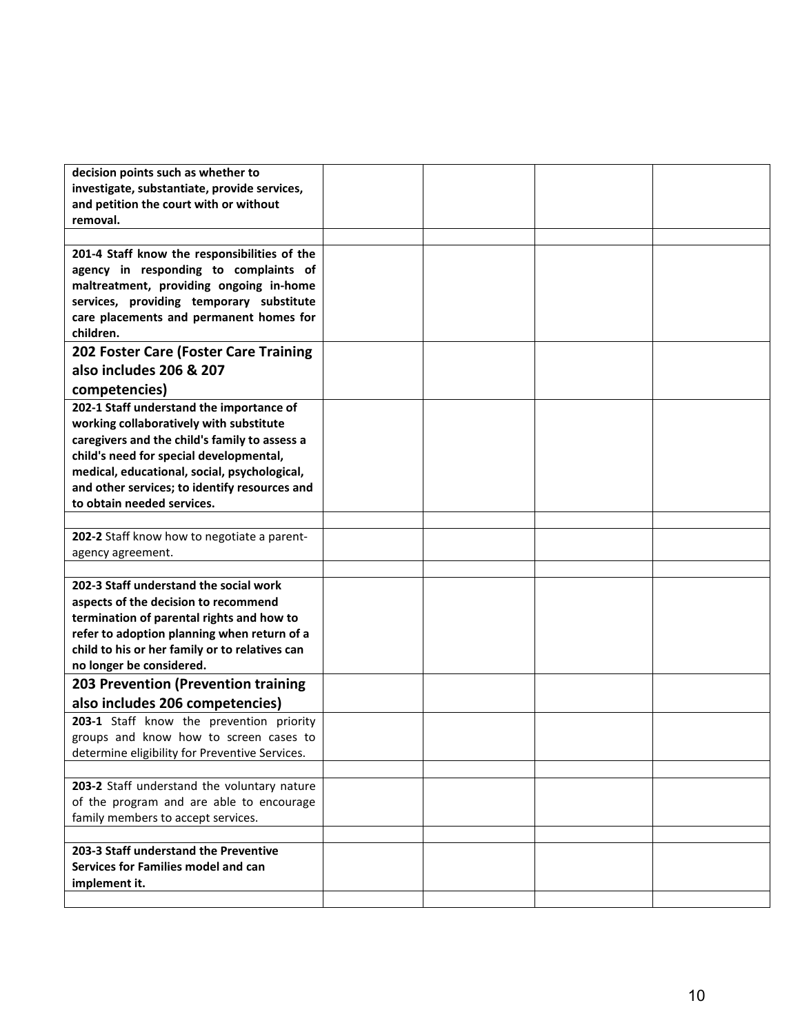| decision points such as whether to             |  |  |
|------------------------------------------------|--|--|
| investigate, substantiate, provide services,   |  |  |
| and petition the court with or without         |  |  |
| removal.                                       |  |  |
|                                                |  |  |
| 201-4 Staff know the responsibilities of the   |  |  |
| agency in responding to complaints of          |  |  |
| maltreatment, providing ongoing in-home        |  |  |
| services, providing temporary substitute       |  |  |
| care placements and permanent homes for        |  |  |
| children.                                      |  |  |
| 202 Foster Care (Foster Care Training          |  |  |
| also includes 206 & 207                        |  |  |
| competencies)                                  |  |  |
| 202-1 Staff understand the importance of       |  |  |
| working collaboratively with substitute        |  |  |
| caregivers and the child's family to assess a  |  |  |
| child's need for special developmental,        |  |  |
| medical, educational, social, psychological,   |  |  |
| and other services; to identify resources and  |  |  |
| to obtain needed services.                     |  |  |
|                                                |  |  |
| 202-2 Staff know how to negotiate a parent-    |  |  |
| agency agreement.                              |  |  |
|                                                |  |  |
| 202-3 Staff understand the social work         |  |  |
| aspects of the decision to recommend           |  |  |
| termination of parental rights and how to      |  |  |
| refer to adoption planning when return of a    |  |  |
| child to his or her family or to relatives can |  |  |
| no longer be considered.                       |  |  |
| 203 Prevention (Prevention training            |  |  |
| also includes 206 competencies)                |  |  |
| 203-1 Staff know the prevention priority       |  |  |
| groups and know how to screen cases to         |  |  |
| determine eligibility for Preventive Services. |  |  |
|                                                |  |  |
| 203-2 Staff understand the voluntary nature    |  |  |
| of the program and are able to encourage       |  |  |
| family members to accept services.             |  |  |
|                                                |  |  |
| 203-3 Staff understand the Preventive          |  |  |
| Services for Families model and can            |  |  |
| implement it.                                  |  |  |
|                                                |  |  |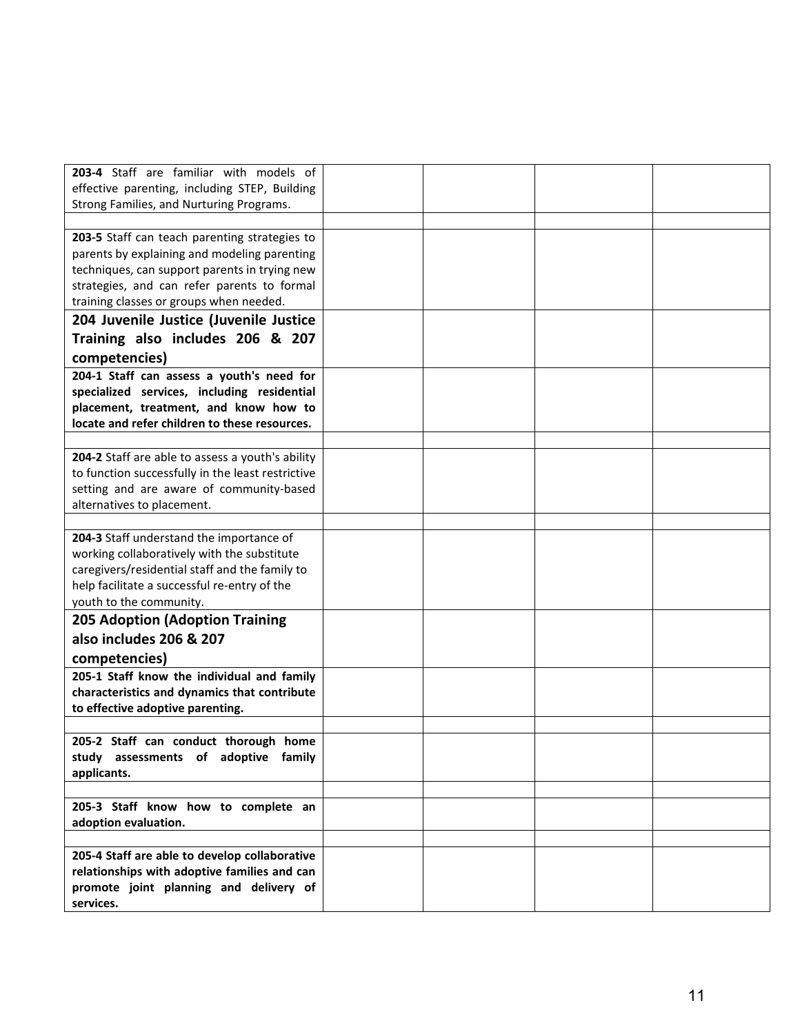| 203-4 Staff are familiar with models of           |  |  |
|---------------------------------------------------|--|--|
| effective parenting, including STEP, Building     |  |  |
| Strong Families, and Nurturing Programs.          |  |  |
|                                                   |  |  |
| 203-5 Staff can teach parenting strategies to     |  |  |
| parents by explaining and modeling parenting      |  |  |
| techniques, can support parents in trying new     |  |  |
| strategies, and can refer parents to formal       |  |  |
| training classes or groups when needed.           |  |  |
| 204 Juvenile Justice (Juvenile Justice            |  |  |
| Training also includes 206 & 207                  |  |  |
| competencies)                                     |  |  |
| 204-1 Staff can assess a youth's need for         |  |  |
| specialized services, including residential       |  |  |
| placement, treatment, and know how to             |  |  |
| locate and refer children to these resources.     |  |  |
|                                                   |  |  |
| 204-2 Staff are able to assess a youth's ability  |  |  |
| to function successfully in the least restrictive |  |  |
| setting and are aware of community-based          |  |  |
| alternatives to placement.                        |  |  |
|                                                   |  |  |
| 204-3 Staff understand the importance of          |  |  |
| working collaboratively with the substitute       |  |  |
| caregivers/residential staff and the family to    |  |  |
| help facilitate a successful re-entry of the      |  |  |
| youth to the community.                           |  |  |
|                                                   |  |  |
| <b>205 Adoption (Adoption Training</b>            |  |  |
| also includes 206 & 207                           |  |  |
| competencies)                                     |  |  |
| 205-1 Staff know the individual and family        |  |  |
| characteristics and dynamics that contribute      |  |  |
| to effective adoptive parenting.                  |  |  |
|                                                   |  |  |
| 205-2 Staff can conduct thorough home             |  |  |
| study assessments of adoptive family              |  |  |
| applicants.                                       |  |  |
|                                                   |  |  |
| 205-3 Staff know how to complete an               |  |  |
| adoption evaluation.                              |  |  |
|                                                   |  |  |
| 205-4 Staff are able to develop collaborative     |  |  |
| relationships with adoptive families and can      |  |  |
| promote joint planning and delivery of            |  |  |
| services.                                         |  |  |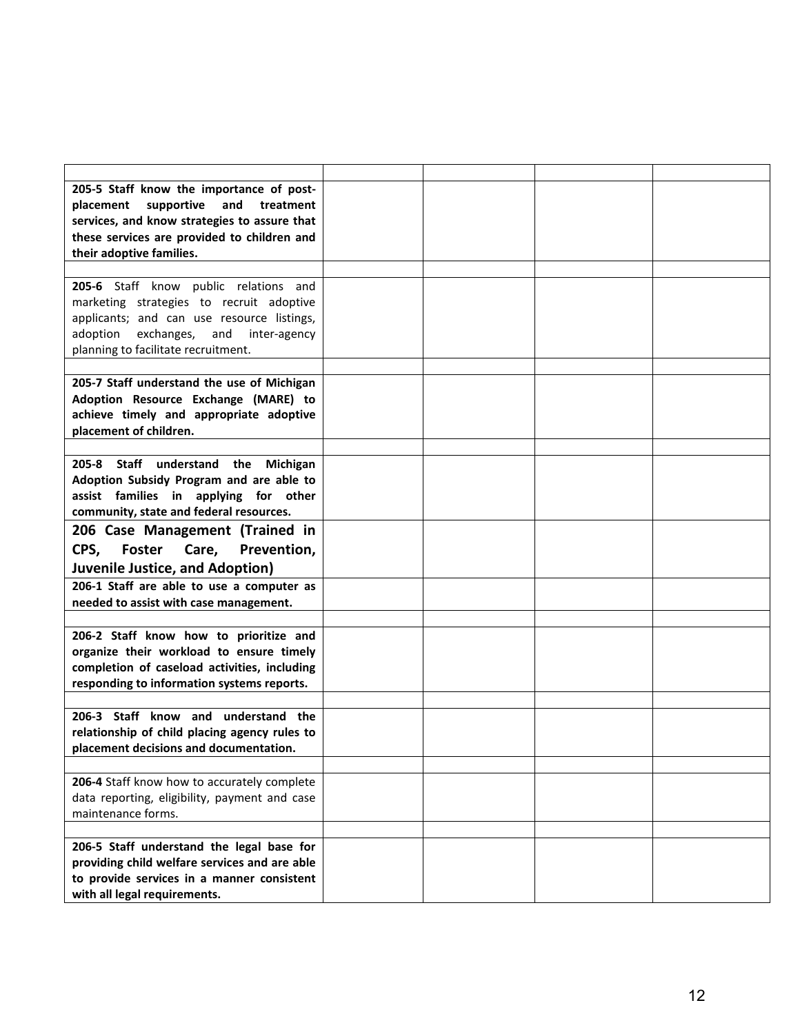| 205-5 Staff know the importance of post-      |  |  |
|-----------------------------------------------|--|--|
| placement<br>supportive<br>and<br>treatment   |  |  |
| services, and know strategies to assure that  |  |  |
| these services are provided to children and   |  |  |
| their adoptive families.                      |  |  |
|                                               |  |  |
| 205-6 Staff know public relations and         |  |  |
| marketing strategies to recruit adoptive      |  |  |
| applicants; and can use resource listings,    |  |  |
| adoption<br>exchanges, and<br>inter-agency    |  |  |
| planning to facilitate recruitment.           |  |  |
|                                               |  |  |
| 205-7 Staff understand the use of Michigan    |  |  |
| Adoption Resource Exchange (MARE) to          |  |  |
| achieve timely and appropriate adoptive       |  |  |
| placement of children.                        |  |  |
|                                               |  |  |
| 205-8 Staff understand the Michigan           |  |  |
| Adoption Subsidy Program and are able to      |  |  |
| assist families in applying for other         |  |  |
| community, state and federal resources.       |  |  |
| 206 Case Management (Trained in               |  |  |
| CPS,<br><b>Foster</b><br>Prevention,<br>Care, |  |  |
|                                               |  |  |
| <b>Juvenile Justice, and Adoption)</b>        |  |  |
| 206-1 Staff are able to use a computer as     |  |  |
| needed to assist with case management.        |  |  |
|                                               |  |  |
| 206-2 Staff know how to prioritize and        |  |  |
| organize their workload to ensure timely      |  |  |
| completion of caseload activities, including  |  |  |
| responding to information systems reports.    |  |  |
| 206-3 Staff know and understand the           |  |  |
| relationship of child placing agency rules to |  |  |
| placement decisions and documentation.        |  |  |
|                                               |  |  |
| 206-4 Staff know how to accurately complete   |  |  |
| data reporting, eligibility, payment and case |  |  |
| maintenance forms.                            |  |  |
|                                               |  |  |
| 206-5 Staff understand the legal base for     |  |  |
| providing child welfare services and are able |  |  |
| to provide services in a manner consistent    |  |  |
| with all legal requirements.                  |  |  |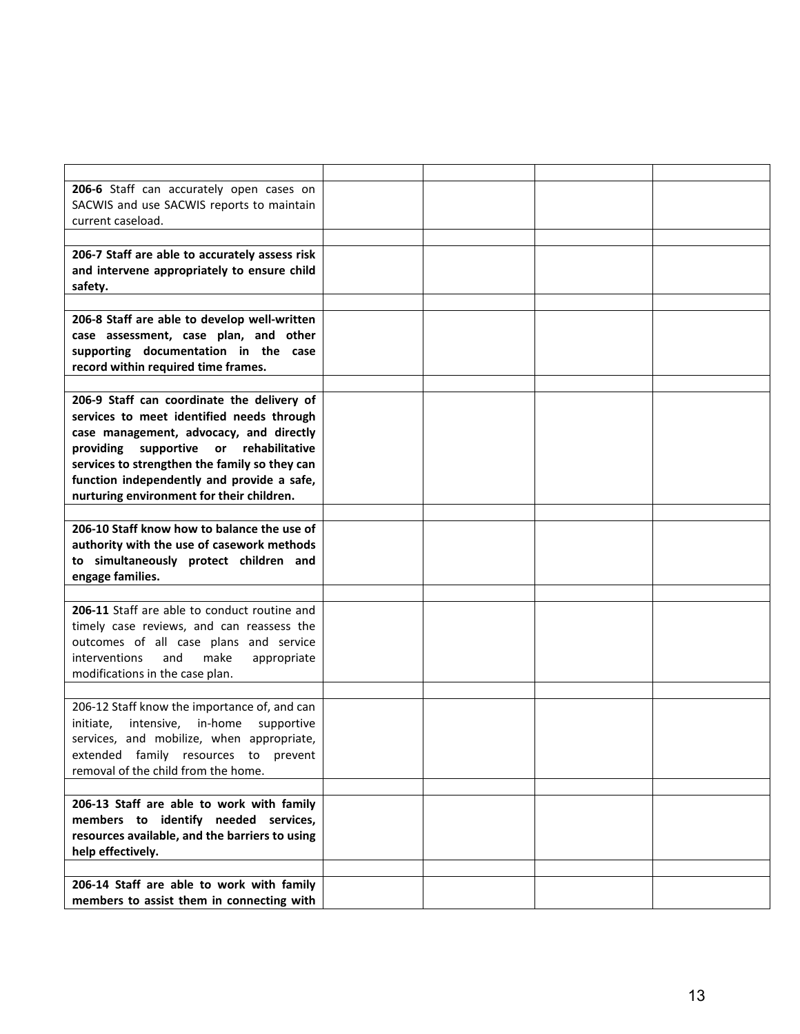| 206-6 Staff can accurately open cases on<br>SACWIS and use SACWIS reports to maintain<br>current caseload.                                                                                                                                                                                                                        |  |  |
|-----------------------------------------------------------------------------------------------------------------------------------------------------------------------------------------------------------------------------------------------------------------------------------------------------------------------------------|--|--|
|                                                                                                                                                                                                                                                                                                                                   |  |  |
| 206-7 Staff are able to accurately assess risk<br>and intervene appropriately to ensure child<br>safety.                                                                                                                                                                                                                          |  |  |
|                                                                                                                                                                                                                                                                                                                                   |  |  |
| 206-8 Staff are able to develop well-written<br>case assessment, case plan, and other<br>supporting documentation in the case<br>record within required time frames.                                                                                                                                                              |  |  |
| 206-9 Staff can coordinate the delivery of<br>services to meet identified needs through<br>case management, advocacy, and directly<br>supportive<br>providing<br>or<br>rehabilitative<br>services to strengthen the family so they can<br>function independently and provide a safe,<br>nurturing environment for their children. |  |  |
| 206-10 Staff know how to balance the use of<br>authority with the use of casework methods<br>to simultaneously protect children and<br>engage families.                                                                                                                                                                           |  |  |
| 206-11 Staff are able to conduct routine and<br>timely case reviews, and can reassess the<br>outcomes of all case plans and service<br>interventions<br>and<br>make<br>appropriate<br>modifications in the case plan.                                                                                                             |  |  |
| 206-12 Staff know the importance of, and can<br>in-home<br>initiate,<br>intensive,<br>supportive<br>services, and mobilize, when appropriate,<br>extended family resources to<br>prevent<br>removal of the child from the home.                                                                                                   |  |  |
| 206-13 Staff are able to work with family<br>members to identify needed services,<br>resources available, and the barriers to using<br>help effectively.                                                                                                                                                                          |  |  |
| 206-14 Staff are able to work with family<br>members to assist them in connecting with                                                                                                                                                                                                                                            |  |  |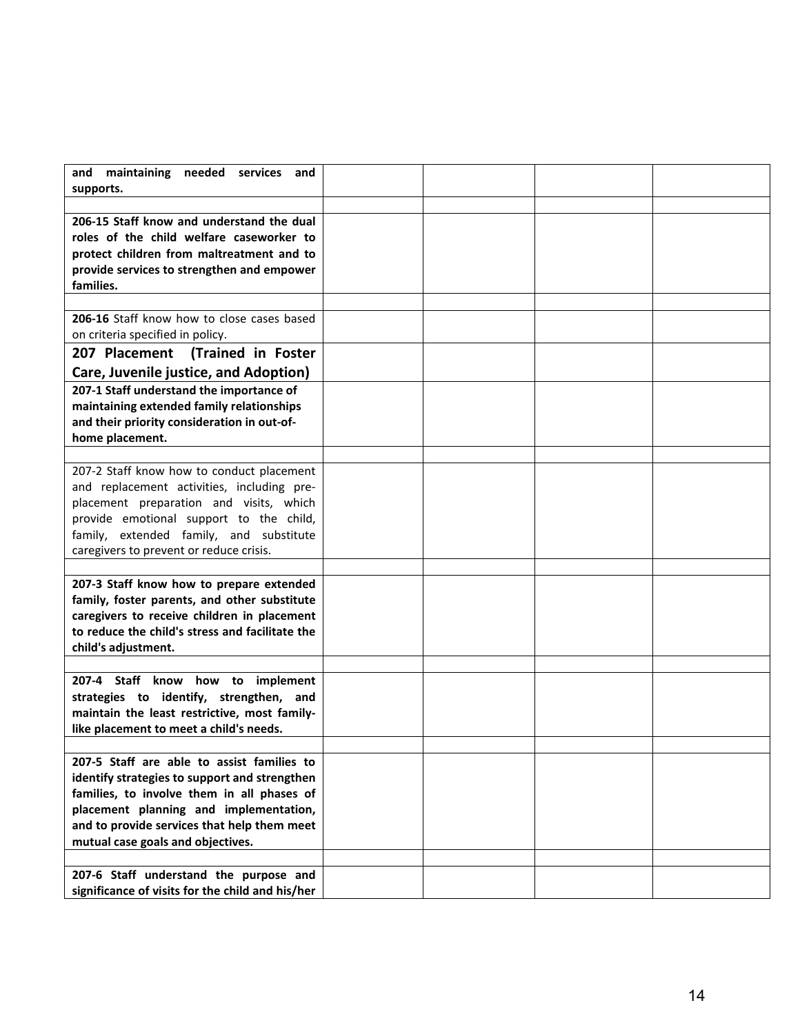| and<br>maintaining<br>needed<br>services<br>and<br>supports.                               |  |  |
|--------------------------------------------------------------------------------------------|--|--|
|                                                                                            |  |  |
| 206-15 Staff know and understand the dual                                                  |  |  |
| roles of the child welfare caseworker to                                                   |  |  |
| protect children from maltreatment and to                                                  |  |  |
| provide services to strengthen and empower                                                 |  |  |
| families.                                                                                  |  |  |
|                                                                                            |  |  |
| 206-16 Staff know how to close cases based                                                 |  |  |
| on criteria specified in policy.                                                           |  |  |
| 207 Placement<br>(Trained in Foster                                                        |  |  |
| Care, Juvenile justice, and Adoption)                                                      |  |  |
| 207-1 Staff understand the importance of                                                   |  |  |
| maintaining extended family relationships                                                  |  |  |
| and their priority consideration in out-of-<br>home placement.                             |  |  |
|                                                                                            |  |  |
| 207-2 Staff know how to conduct placement                                                  |  |  |
| and replacement activities, including pre-                                                 |  |  |
| placement preparation and visits, which                                                    |  |  |
| provide emotional support to the child,                                                    |  |  |
| family, extended family, and substitute                                                    |  |  |
| caregivers to prevent or reduce crisis.                                                    |  |  |
|                                                                                            |  |  |
| 207-3 Staff know how to prepare extended                                                   |  |  |
| family, foster parents, and other substitute                                               |  |  |
| caregivers to receive children in placement                                                |  |  |
| to reduce the child's stress and facilitate the                                            |  |  |
| child's adjustment.                                                                        |  |  |
| 207-4 Staff know how to implement                                                          |  |  |
| strategies to identify, strengthen, and                                                    |  |  |
| maintain the least restrictive, most family-                                               |  |  |
| like placement to meet a child's needs.                                                    |  |  |
|                                                                                            |  |  |
| 207-5 Staff are able to assist families to                                                 |  |  |
| identify strategies to support and strengthen                                              |  |  |
| families, to involve them in all phases of                                                 |  |  |
| placement planning and implementation,                                                     |  |  |
| and to provide services that help them meet                                                |  |  |
| mutual case goals and objectives.                                                          |  |  |
|                                                                                            |  |  |
| 207-6 Staff understand the purpose and<br>significance of visits for the child and his/her |  |  |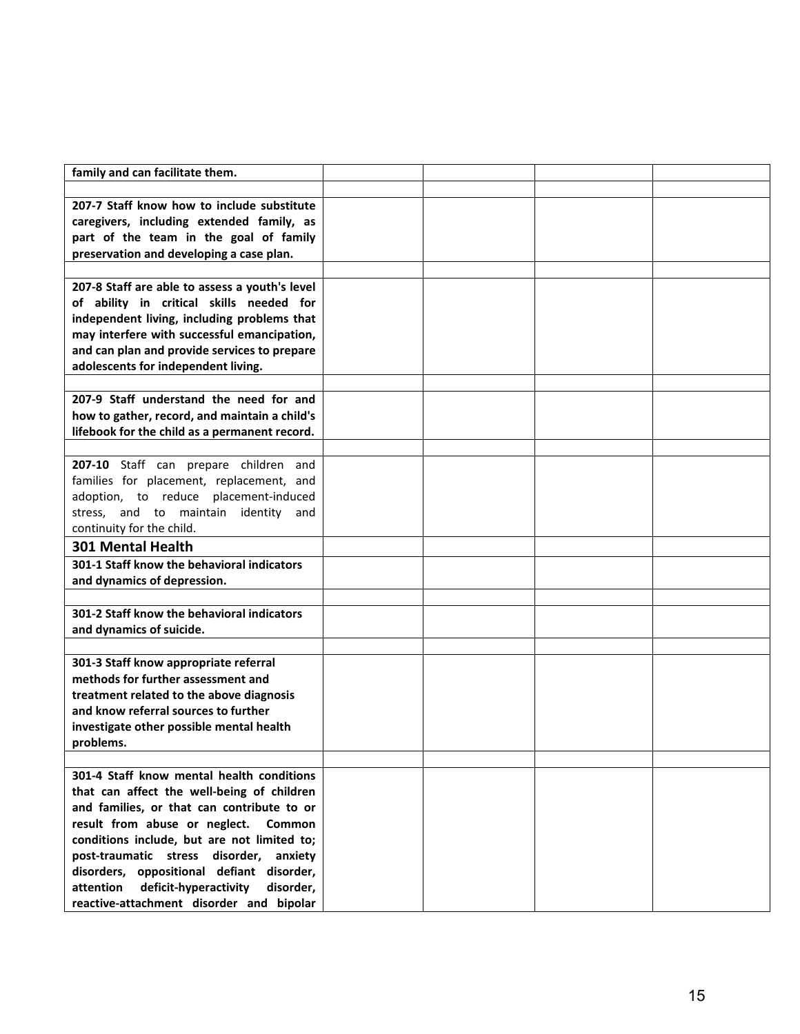| family and can facilitate them.                                                  |  |  |
|----------------------------------------------------------------------------------|--|--|
|                                                                                  |  |  |
| 207-7 Staff know how to include substitute                                       |  |  |
| caregivers, including extended family, as                                        |  |  |
| part of the team in the goal of family                                           |  |  |
| preservation and developing a case plan.                                         |  |  |
|                                                                                  |  |  |
| 207-8 Staff are able to assess a youth's level                                   |  |  |
| of ability in critical skills needed for                                         |  |  |
| independent living, including problems that                                      |  |  |
| may interfere with successful emancipation,                                      |  |  |
| and can plan and provide services to prepare                                     |  |  |
| adolescents for independent living.                                              |  |  |
|                                                                                  |  |  |
| 207-9 Staff understand the need for and                                          |  |  |
| how to gather, record, and maintain a child's                                    |  |  |
| lifebook for the child as a permanent record.                                    |  |  |
|                                                                                  |  |  |
| 207-10 Staff can prepare children and                                            |  |  |
| families for placement, replacement, and                                         |  |  |
| adoption, to reduce placement-induced                                            |  |  |
| stress, and to maintain identity and                                             |  |  |
| continuity for the child.                                                        |  |  |
| <b>301 Mental Health</b>                                                         |  |  |
| 301-1 Staff know the behavioral indicators                                       |  |  |
| and dynamics of depression.                                                      |  |  |
|                                                                                  |  |  |
| 301-2 Staff know the behavioral indicators                                       |  |  |
| and dynamics of suicide.                                                         |  |  |
|                                                                                  |  |  |
| 301-3 Staff know appropriate referral                                            |  |  |
| methods for further assessment and                                               |  |  |
| treatment related to the above diagnosis<br>and know referral sources to further |  |  |
| investigate other possible mental health                                         |  |  |
| problems.                                                                        |  |  |
|                                                                                  |  |  |
| 301-4 Staff know mental health conditions                                        |  |  |
| that can affect the well-being of children                                       |  |  |
| and families, or that can contribute to or                                       |  |  |
| result from abuse or neglect.<br><b>Common</b>                                   |  |  |
| conditions include, but are not limited to;                                      |  |  |
| post-traumatic stress disorder,<br>anxiety                                       |  |  |
| disorders, oppositional defiant disorder,                                        |  |  |
| deficit-hyperactivity<br>attention<br>disorder,                                  |  |  |
| reactive-attachment disorder and bipolar                                         |  |  |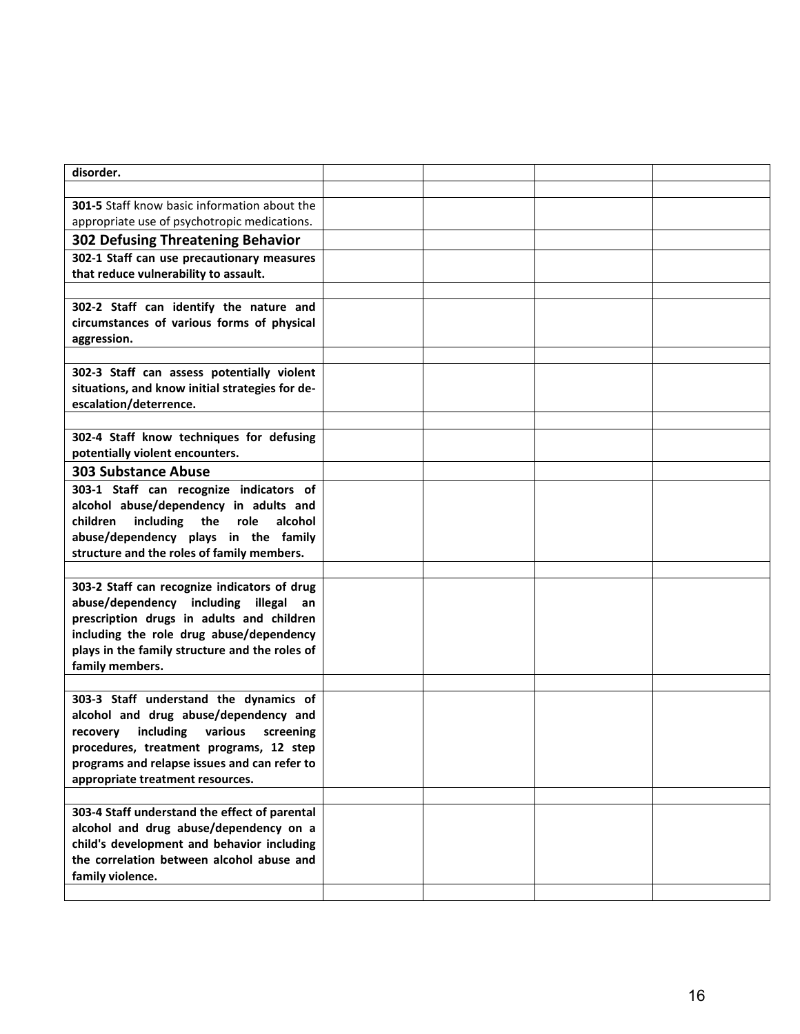| disorder.                                       |  |  |
|-------------------------------------------------|--|--|
|                                                 |  |  |
| 301-5 Staff know basic information about the    |  |  |
| appropriate use of psychotropic medications.    |  |  |
|                                                 |  |  |
| <b>302 Defusing Threatening Behavior</b>        |  |  |
| 302-1 Staff can use precautionary measures      |  |  |
| that reduce vulnerability to assault.           |  |  |
|                                                 |  |  |
| 302-2 Staff can identify the nature and         |  |  |
| circumstances of various forms of physical      |  |  |
| aggression.                                     |  |  |
|                                                 |  |  |
| 302-3 Staff can assess potentially violent      |  |  |
| situations, and know initial strategies for de- |  |  |
| escalation/deterrence.                          |  |  |
|                                                 |  |  |
| 302-4 Staff know techniques for defusing        |  |  |
| potentially violent encounters.                 |  |  |
| <b>303 Substance Abuse</b>                      |  |  |
| 303-1 Staff can recognize indicators of         |  |  |
| alcohol abuse/dependency in adults and          |  |  |
| including the<br>children<br>role<br>alcohol    |  |  |
| abuse/dependency plays in the family            |  |  |
| structure and the roles of family members.      |  |  |
|                                                 |  |  |
| 303-2 Staff can recognize indicators of drug    |  |  |
| abuse/dependency including illegal an           |  |  |
| prescription drugs in adults and children       |  |  |
| including the role drug abuse/dependency        |  |  |
| plays in the family structure and the roles of  |  |  |
| family members.                                 |  |  |
|                                                 |  |  |
| 303-3 Staff understand the dynamics of          |  |  |
| alcohol and drug abuse/dependency and           |  |  |
| including various screening<br>recovery         |  |  |
| procedures, treatment programs, 12 step         |  |  |
| programs and relapse issues and can refer to    |  |  |
| appropriate treatment resources.                |  |  |
|                                                 |  |  |
| 303-4 Staff understand the effect of parental   |  |  |
| alcohol and drug abuse/dependency on a          |  |  |
| child's development and behavior including      |  |  |
| the correlation between alcohol abuse and       |  |  |
| family violence.                                |  |  |
|                                                 |  |  |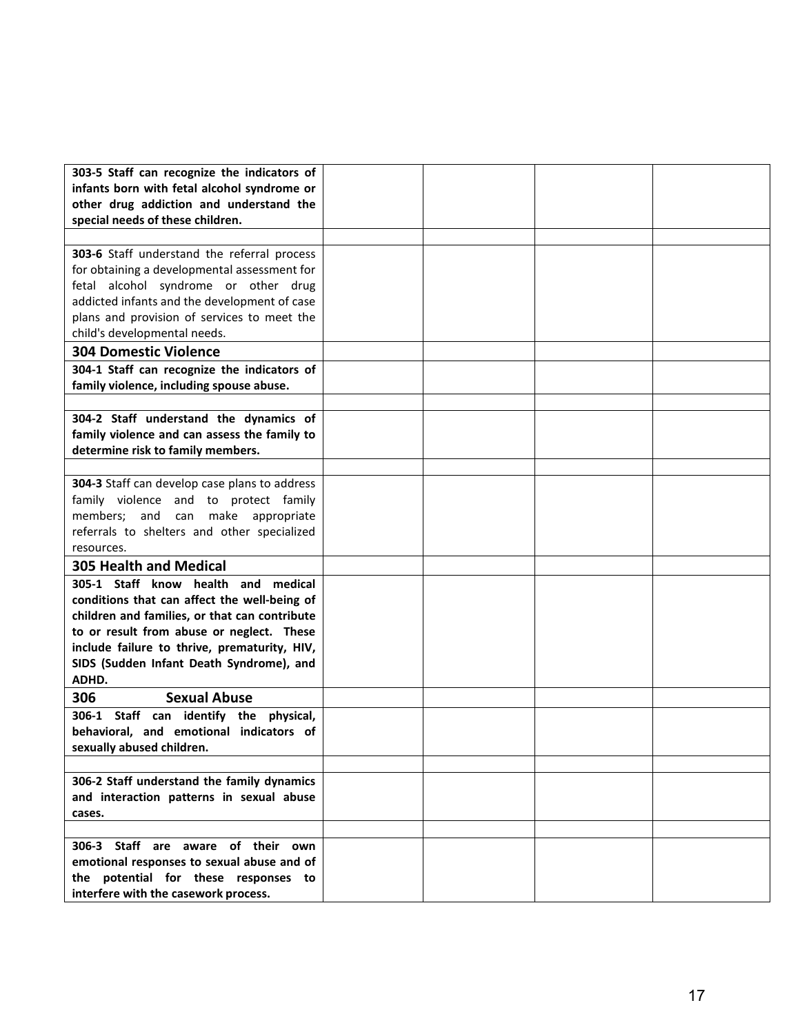| 303-5 Staff can recognize the indicators of       |  |  |
|---------------------------------------------------|--|--|
| infants born with fetal alcohol syndrome or       |  |  |
| other drug addiction and understand the           |  |  |
| special needs of these children.                  |  |  |
|                                                   |  |  |
| 303-6 Staff understand the referral process       |  |  |
| for obtaining a developmental assessment for      |  |  |
| fetal alcohol syndrome or other drug              |  |  |
| addicted infants and the development of case      |  |  |
| plans and provision of services to meet the       |  |  |
| child's developmental needs.                      |  |  |
| <b>304 Domestic Violence</b>                      |  |  |
| 304-1 Staff can recognize the indicators of       |  |  |
| family violence, including spouse abuse.          |  |  |
|                                                   |  |  |
| 304-2 Staff understand the dynamics of            |  |  |
| family violence and can assess the family to      |  |  |
| determine risk to family members.                 |  |  |
|                                                   |  |  |
| 304-3 Staff can develop case plans to address     |  |  |
| family violence and to protect family             |  |  |
| members; and can make appropriate                 |  |  |
| referrals to shelters and other specialized       |  |  |
| resources.                                        |  |  |
| <b>305 Health and Medical</b>                     |  |  |
| 305-1 Staff know health and medical               |  |  |
| conditions that can affect the well-being of      |  |  |
| children and families, or that can contribute     |  |  |
| to or result from abuse or neglect. These         |  |  |
| include failure to thrive, prematurity, HIV,      |  |  |
| SIDS (Sudden Infant Death Syndrome), and<br>ADHD. |  |  |
|                                                   |  |  |
| <b>Sexual Abuse</b><br>306                        |  |  |
| 306-1 Staff can identify the physical,            |  |  |
| behavioral, and emotional indicators of           |  |  |
| sexually abused children.                         |  |  |
| 306-2 Staff understand the family dynamics        |  |  |
| and interaction patterns in sexual abuse          |  |  |
| cases.                                            |  |  |
|                                                   |  |  |
| 306-3 Staff are aware of their own                |  |  |
| emotional responses to sexual abuse and of        |  |  |
| the potential for these responses to              |  |  |
| interfere with the casework process.              |  |  |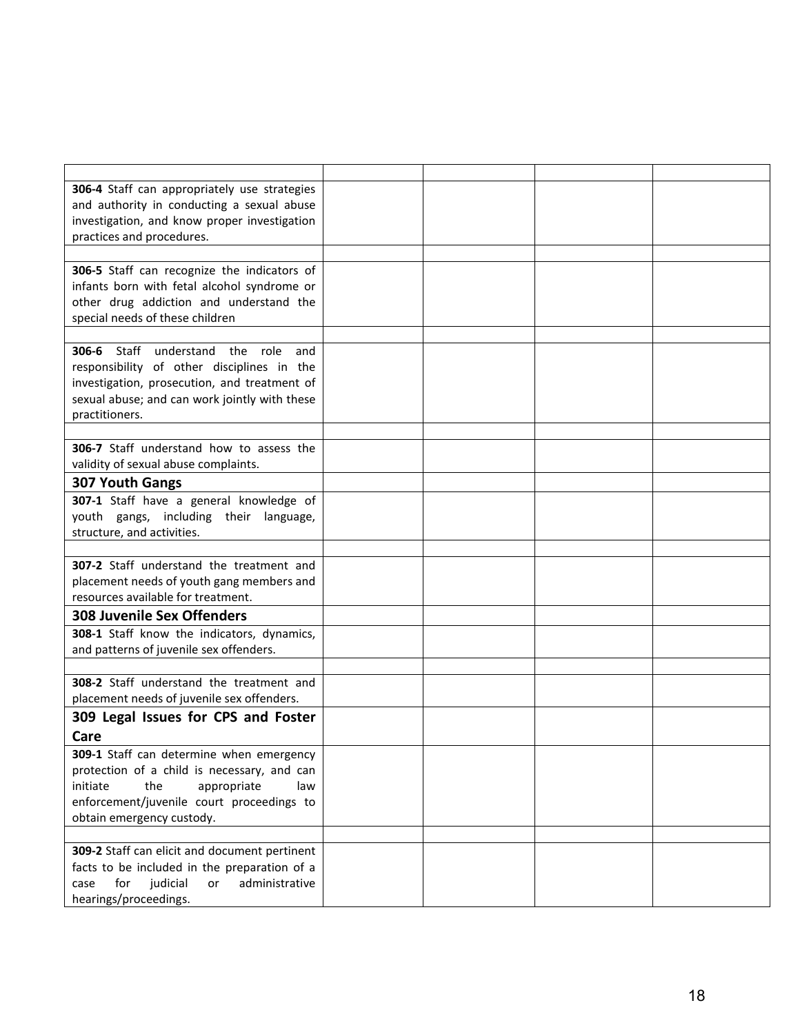| 306-4 Staff can appropriately use strategies    |  |  |
|-------------------------------------------------|--|--|
| and authority in conducting a sexual abuse      |  |  |
| investigation, and know proper investigation    |  |  |
| practices and procedures.                       |  |  |
|                                                 |  |  |
| 306-5 Staff can recognize the indicators of     |  |  |
| infants born with fetal alcohol syndrome or     |  |  |
| other drug addiction and understand the         |  |  |
| special needs of these children                 |  |  |
|                                                 |  |  |
| 306-6 Staff understand the role<br>and          |  |  |
| responsibility of other disciplines in the      |  |  |
| investigation, prosecution, and treatment of    |  |  |
| sexual abuse; and can work jointly with these   |  |  |
| practitioners.                                  |  |  |
|                                                 |  |  |
| <b>306-7</b> Staff understand how to assess the |  |  |
| validity of sexual abuse complaints.            |  |  |
| 307 Youth Gangs                                 |  |  |
| 307-1 Staff have a general knowledge of         |  |  |
| youth gangs, including their language,          |  |  |
| structure, and activities.                      |  |  |
|                                                 |  |  |
| 307-2 Staff understand the treatment and        |  |  |
| placement needs of youth gang members and       |  |  |
| resources available for treatment.              |  |  |
| <b>308 Juvenile Sex Offenders</b>               |  |  |
| 308-1 Staff know the indicators, dynamics,      |  |  |
| and patterns of juvenile sex offenders.         |  |  |
|                                                 |  |  |
| 308-2 Staff understand the treatment and        |  |  |
| placement needs of juvenile sex offenders.      |  |  |
| 309 Legal Issues for CPS and Foster             |  |  |
| Care                                            |  |  |
| 309-1 Staff can determine when emergency        |  |  |
| protection of a child is necessary, and can     |  |  |
| initiate<br>appropriate<br>the<br>law           |  |  |
| enforcement/juvenile court proceedings to       |  |  |
| obtain emergency custody.                       |  |  |
|                                                 |  |  |
| 309-2 Staff can elicit and document pertinent   |  |  |
| facts to be included in the preparation of a    |  |  |
| administrative<br>for<br>judicial<br>case<br>or |  |  |
| hearings/proceedings.                           |  |  |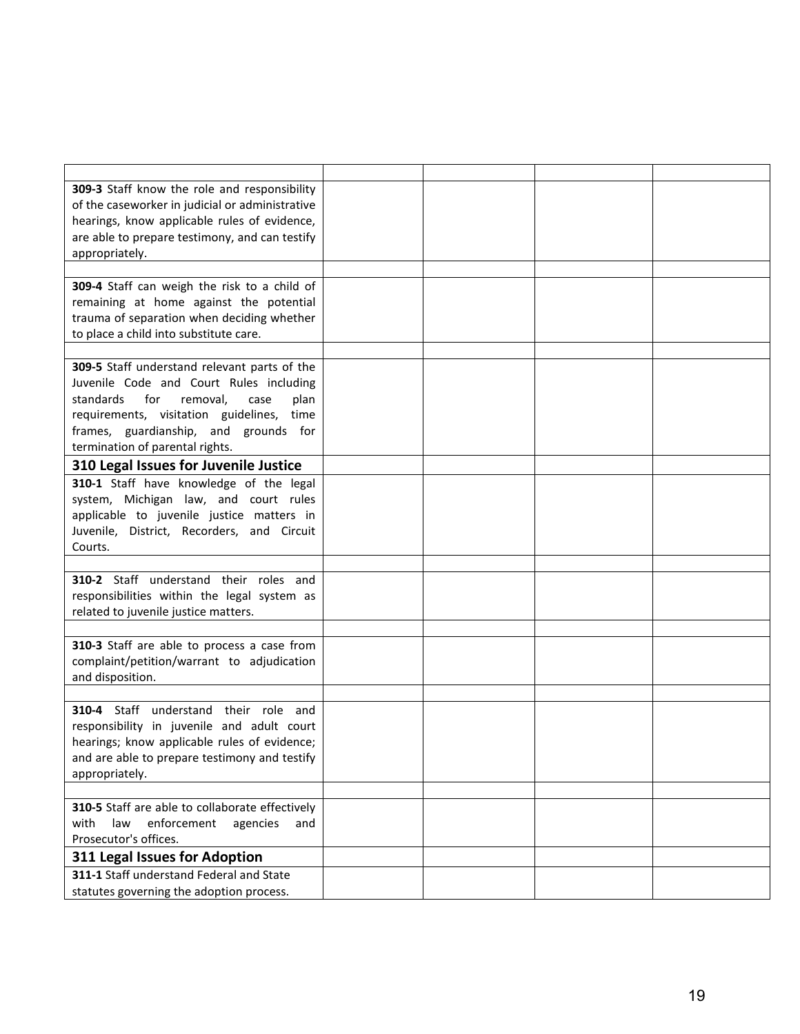| 309-3 Staff know the role and responsibility    |  |  |
|-------------------------------------------------|--|--|
| of the caseworker in judicial or administrative |  |  |
| hearings, know applicable rules of evidence,    |  |  |
| are able to prepare testimony, and can testify  |  |  |
| appropriately.                                  |  |  |
|                                                 |  |  |
| 309-4 Staff can weigh the risk to a child of    |  |  |
| remaining at home against the potential         |  |  |
| trauma of separation when deciding whether      |  |  |
| to place a child into substitute care.          |  |  |
|                                                 |  |  |
| 309-5 Staff understand relevant parts of the    |  |  |
| Juvenile Code and Court Rules including         |  |  |
| standards<br>for<br>removal,<br>case<br>plan    |  |  |
| requirements, visitation guidelines, time       |  |  |
| frames, guardianship, and grounds for           |  |  |
| termination of parental rights.                 |  |  |
| 310 Legal Issues for Juvenile Justice           |  |  |
| 310-1 Staff have knowledge of the legal         |  |  |
| system, Michigan law, and court rules           |  |  |
| applicable to juvenile justice matters in       |  |  |
| Juvenile, District, Recorders, and Circuit      |  |  |
| Courts.                                         |  |  |
|                                                 |  |  |
| 310-2 Staff understand their roles and          |  |  |
| responsibilities within the legal system as     |  |  |
| related to juvenile justice matters.            |  |  |
|                                                 |  |  |
| 310-3 Staff are able to process a case from     |  |  |
| complaint/petition/warrant to adjudication      |  |  |
| and disposition.                                |  |  |
| 310-4 Staff understand their role and           |  |  |
| responsibility in juvenile and adult court      |  |  |
| hearings; know applicable rules of evidence;    |  |  |
| and are able to prepare testimony and testify   |  |  |
| appropriately.                                  |  |  |
|                                                 |  |  |
| 310-5 Staff are able to collaborate effectively |  |  |
| with<br>law<br>enforcement<br>agencies<br>and   |  |  |
| Prosecutor's offices.                           |  |  |
| 311 Legal Issues for Adoption                   |  |  |
| 311-1 Staff understand Federal and State        |  |  |
| statutes governing the adoption process.        |  |  |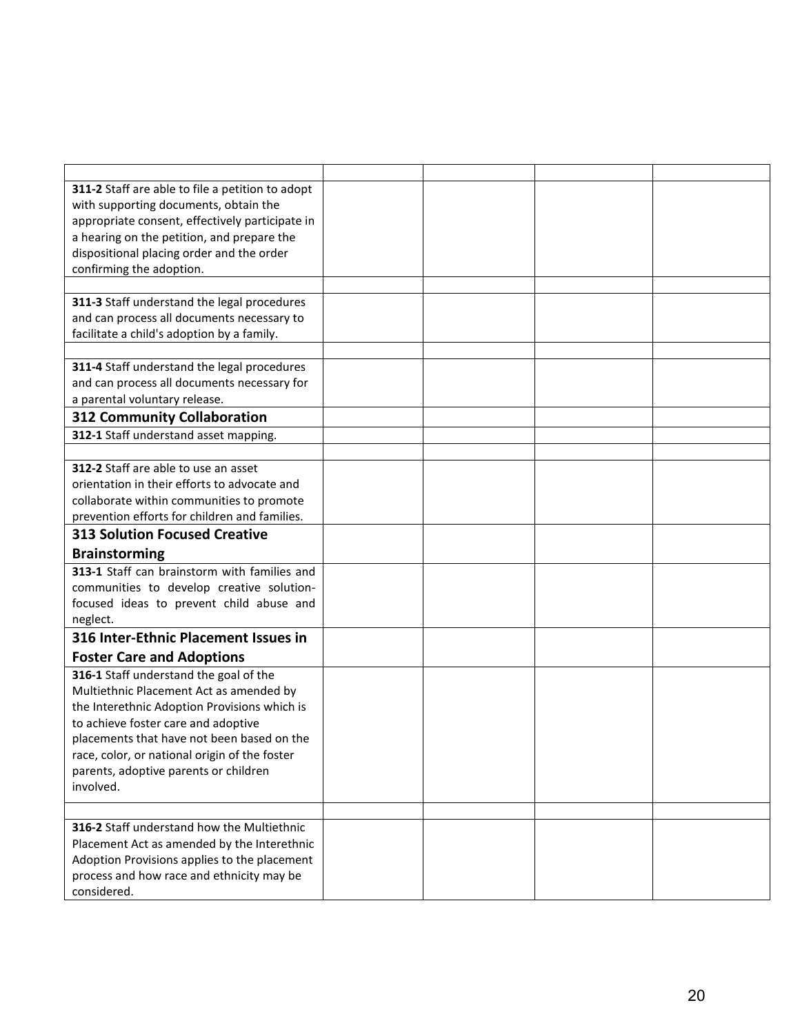| 311-2 Staff are able to file a petition to adopt                                          |  |  |
|-------------------------------------------------------------------------------------------|--|--|
| with supporting documents, obtain the                                                     |  |  |
| appropriate consent, effectively participate in                                           |  |  |
| a hearing on the petition, and prepare the                                                |  |  |
| dispositional placing order and the order<br>confirming the adoption.                     |  |  |
|                                                                                           |  |  |
| 311-3 Staff understand the legal procedures                                               |  |  |
| and can process all documents necessary to                                                |  |  |
| facilitate a child's adoption by a family.                                                |  |  |
|                                                                                           |  |  |
| 311-4 Staff understand the legal procedures                                               |  |  |
| and can process all documents necessary for                                               |  |  |
| a parental voluntary release.                                                             |  |  |
| <b>312 Community Collaboration</b>                                                        |  |  |
| 312-1 Staff understand asset mapping.                                                     |  |  |
| 312-2 Staff are able to use an asset                                                      |  |  |
| orientation in their efforts to advocate and                                              |  |  |
| collaborate within communities to promote                                                 |  |  |
| prevention efforts for children and families.                                             |  |  |
| <b>313 Solution Focused Creative</b>                                                      |  |  |
| <b>Brainstorming</b>                                                                      |  |  |
| 313-1 Staff can brainstorm with families and                                              |  |  |
| communities to develop creative solution-                                                 |  |  |
| focused ideas to prevent child abuse and                                                  |  |  |
| neglect.<br>316 Inter-Ethnic Placement Issues in                                          |  |  |
|                                                                                           |  |  |
| <b>Foster Care and Adoptions</b><br>316-1 Staff understand the goal of the                |  |  |
| Multiethnic Placement Act as amended by                                                   |  |  |
| the Interethnic Adoption Provisions which is                                              |  |  |
| to achieve foster care and adoptive                                                       |  |  |
| placements that have not been based on the                                                |  |  |
| race, color, or national origin of the foster                                             |  |  |
| parents, adoptive parents or children                                                     |  |  |
| involved.                                                                                 |  |  |
|                                                                                           |  |  |
| 316-2 Staff understand how the Multiethnic                                                |  |  |
| Placement Act as amended by the Interethnic                                               |  |  |
| Adoption Provisions applies to the placement<br>process and how race and ethnicity may be |  |  |
| considered.                                                                               |  |  |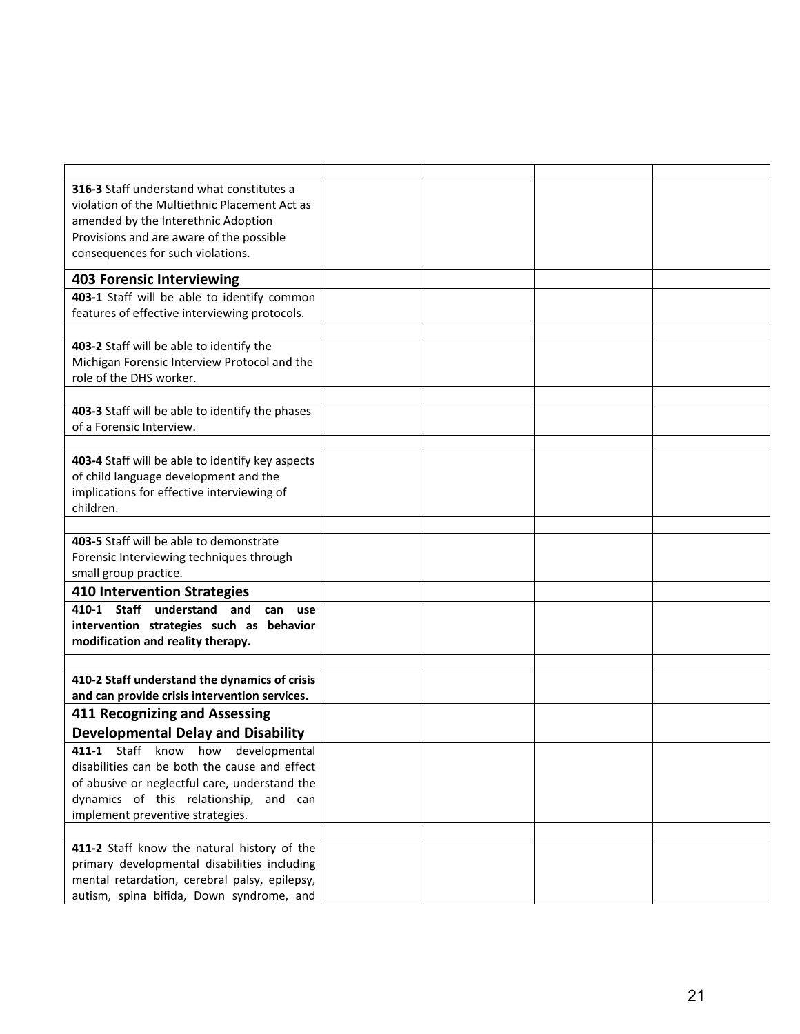| 316-3 Staff understand what constitutes a        |  |  |
|--------------------------------------------------|--|--|
| violation of the Multiethnic Placement Act as    |  |  |
| amended by the Interethnic Adoption              |  |  |
| Provisions and are aware of the possible         |  |  |
| consequences for such violations.                |  |  |
| <b>403 Forensic Interviewing</b>                 |  |  |
| 403-1 Staff will be able to identify common      |  |  |
| features of effective interviewing protocols.    |  |  |
|                                                  |  |  |
| 403-2 Staff will be able to identify the         |  |  |
| Michigan Forensic Interview Protocol and the     |  |  |
| role of the DHS worker.                          |  |  |
|                                                  |  |  |
| 403-3 Staff will be able to identify the phases  |  |  |
| of a Forensic Interview.                         |  |  |
|                                                  |  |  |
| 403-4 Staff will be able to identify key aspects |  |  |
| of child language development and the            |  |  |
| implications for effective interviewing of       |  |  |
| children.                                        |  |  |
| 403-5 Staff will be able to demonstrate          |  |  |
| Forensic Interviewing techniques through         |  |  |
| small group practice.                            |  |  |
| <b>410 Intervention Strategies</b>               |  |  |
| 410-1 Staff understand and<br>can use            |  |  |
| intervention strategies such as behavior         |  |  |
| modification and reality therapy.                |  |  |
|                                                  |  |  |
| 410-2 Staff understand the dynamics of crisis    |  |  |
| and can provide crisis intervention services.    |  |  |
| 411 Recognizing and Assessing                    |  |  |
| <b>Developmental Delay and Disability</b>        |  |  |
| 411-1 Staff know how developmental               |  |  |
| disabilities can be both the cause and effect    |  |  |
| of abusive or neglectful care, understand the    |  |  |
| dynamics of this relationship, and can           |  |  |
| implement preventive strategies.                 |  |  |
|                                                  |  |  |
| 411-2 Staff know the natural history of the      |  |  |
| primary developmental disabilities including     |  |  |
| mental retardation, cerebral palsy, epilepsy,    |  |  |
| autism, spina bifida, Down syndrome, and         |  |  |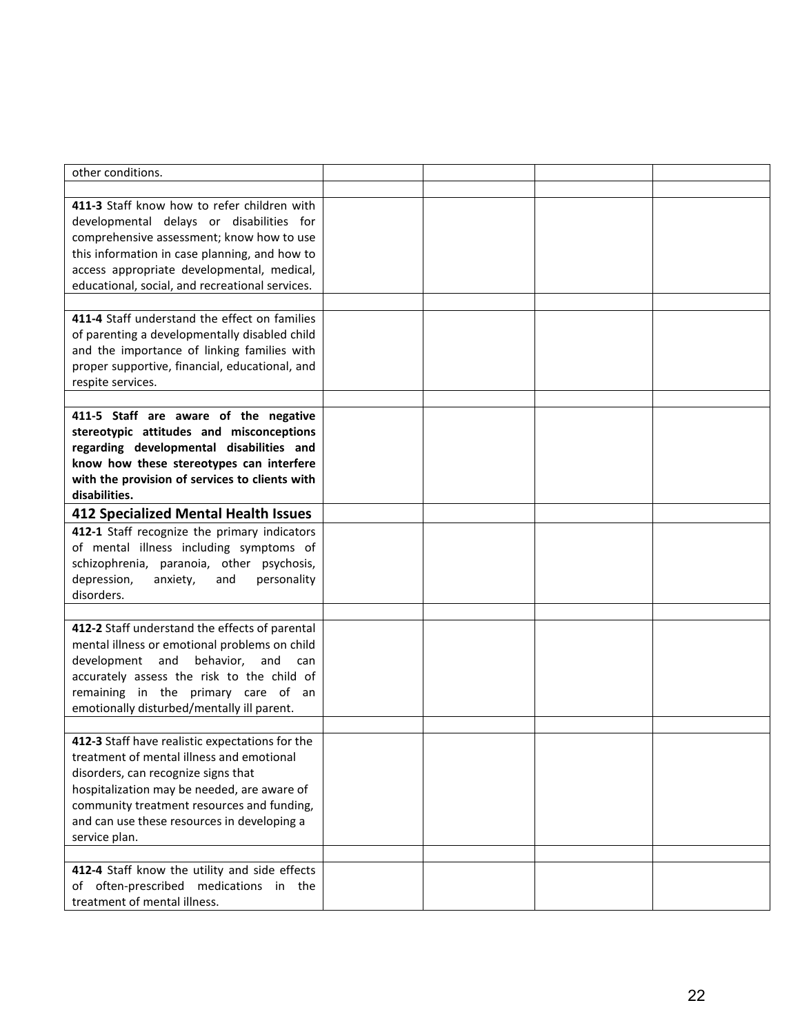| other conditions.                               |  |  |
|-------------------------------------------------|--|--|
|                                                 |  |  |
| 411-3 Staff know how to refer children with     |  |  |
| developmental delays or disabilities for        |  |  |
| comprehensive assessment; know how to use       |  |  |
| this information in case planning, and how to   |  |  |
|                                                 |  |  |
| access appropriate developmental, medical,      |  |  |
| educational, social, and recreational services. |  |  |
|                                                 |  |  |
| 411-4 Staff understand the effect on families   |  |  |
| of parenting a developmentally disabled child   |  |  |
| and the importance of linking families with     |  |  |
| proper supportive, financial, educational, and  |  |  |
| respite services.                               |  |  |
|                                                 |  |  |
| 411-5 Staff are aware of the negative           |  |  |
| stereotypic attitudes and misconceptions        |  |  |
| regarding developmental disabilities and        |  |  |
| know how these stereotypes can interfere        |  |  |
| with the provision of services to clients with  |  |  |
| disabilities.                                   |  |  |
| <b>412 Specialized Mental Health Issues</b>     |  |  |
| 412-1 Staff recognize the primary indicators    |  |  |
| of mental illness including symptoms of         |  |  |
| schizophrenia, paranoia, other psychosis,       |  |  |
| depression,<br>anxiety,<br>and<br>personality   |  |  |
| disorders.                                      |  |  |
|                                                 |  |  |
| 412-2 Staff understand the effects of parental  |  |  |
| mental illness or emotional problems on child   |  |  |
| development and<br>behavior,<br>and<br>can      |  |  |
| accurately assess the risk to the child of      |  |  |
| remaining in the primary care of an             |  |  |
| emotionally disturbed/mentally ill parent.      |  |  |
|                                                 |  |  |
| 412-3 Staff have realistic expectations for the |  |  |
| treatment of mental illness and emotional       |  |  |
| disorders, can recognize signs that             |  |  |
| hospitalization may be needed, are aware of     |  |  |
|                                                 |  |  |
| community treatment resources and funding,      |  |  |
| and can use these resources in developing a     |  |  |
| service plan.                                   |  |  |
|                                                 |  |  |
| 412-4 Staff know the utility and side effects   |  |  |
| of often-prescribed medications in the          |  |  |
| treatment of mental illness.                    |  |  |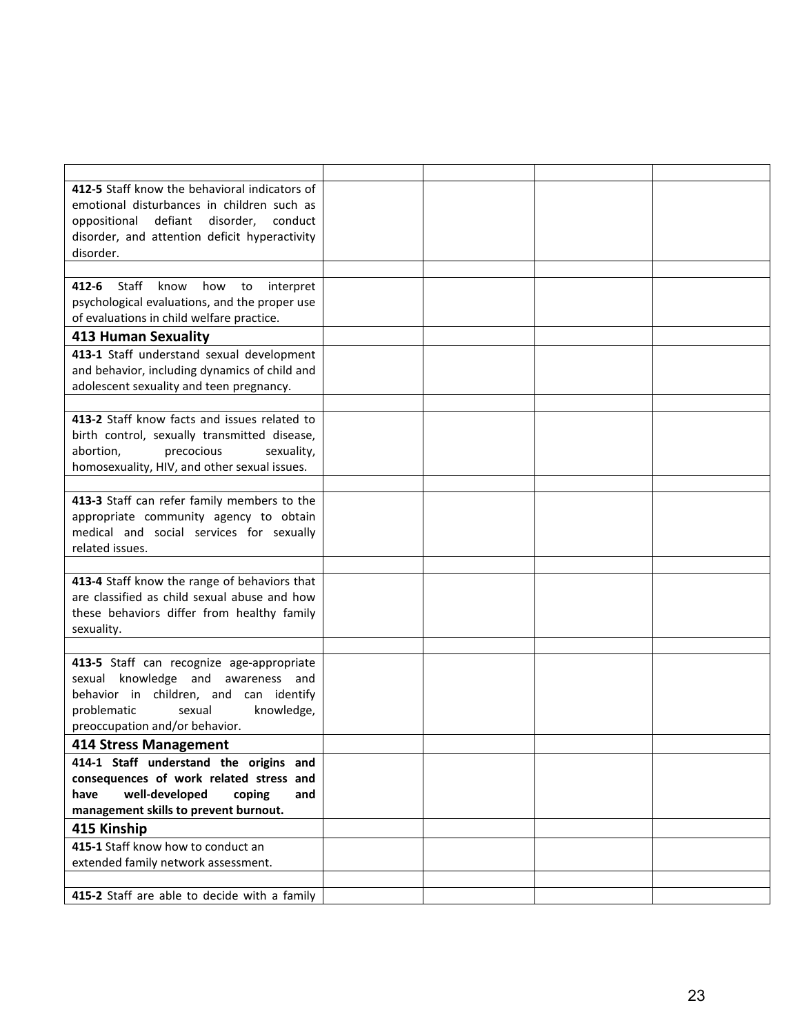| 412-5 Staff know the behavioral indicators of            |  |  |
|----------------------------------------------------------|--|--|
| emotional disturbances in children such as               |  |  |
| oppositional defiant<br>disorder,<br>conduct             |  |  |
| disorder, and attention deficit hyperactivity            |  |  |
| disorder.                                                |  |  |
|                                                          |  |  |
| <b>412-6</b> Staff<br>know<br>how<br>to<br>interpret     |  |  |
| psychological evaluations, and the proper use            |  |  |
| of evaluations in child welfare practice.                |  |  |
| 413 Human Sexuality                                      |  |  |
| 413-1 Staff understand sexual development                |  |  |
| and behavior, including dynamics of child and            |  |  |
| adolescent sexuality and teen pregnancy.                 |  |  |
|                                                          |  |  |
| 413-2 Staff know facts and issues related to             |  |  |
| birth control, sexually transmitted disease,             |  |  |
| abortion,<br>precocious<br>sexuality,                    |  |  |
| homosexuality, HIV, and other sexual issues.             |  |  |
|                                                          |  |  |
| 413-3 Staff can refer family members to the              |  |  |
| appropriate community agency to obtain                   |  |  |
| medical and social services for sexually                 |  |  |
| related issues.                                          |  |  |
|                                                          |  |  |
| 413-4 Staff know the range of behaviors that             |  |  |
| are classified as child sexual abuse and how             |  |  |
| these behaviors differ from healthy family<br>sexuality. |  |  |
|                                                          |  |  |
| 413-5 Staff can recognize age-appropriate                |  |  |
| sexual knowledge and awareness and                       |  |  |
| behavior in children, and can identify                   |  |  |
| problematic<br>sexual<br>knowledge,                      |  |  |
| preoccupation and/or behavior.                           |  |  |
| <b>414 Stress Management</b>                             |  |  |
| 414-1 Staff understand the origins and                   |  |  |
| consequences of work related stress and                  |  |  |
| have<br>well-developed<br>coping<br>and                  |  |  |
| management skills to prevent burnout.                    |  |  |
| 415 Kinship                                              |  |  |
| 415-1 Staff know how to conduct an                       |  |  |
| extended family network assessment.                      |  |  |
|                                                          |  |  |
| 415-2 Staff are able to decide with a family             |  |  |